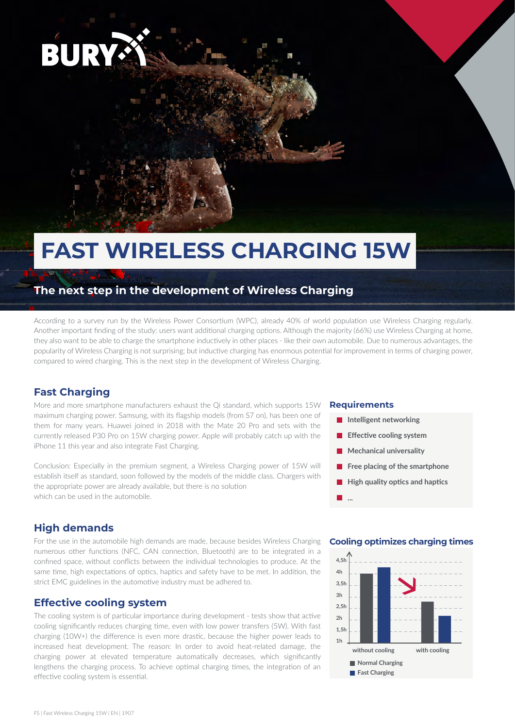

# **FAST WIRELESS CHARGING 15W**

### **The next step in the development of Wireless Charging**

According to a survey run by the Wireless Power Consortium (WPC), already 40% of world population use Wireless Charging regularly. Another important finding of the study: users want additional charging options. Although the majority (66%) use Wireless Charging at home, they also want to be able to charge the smartphone inductively in other places - like their own automobile. Due to numerous advantages, the popularity of Wireless Charging is not surprising; but inductive charging has enormous potential for improvement in terms of charging power, compared to wired charging. This is the next step in the development of Wireless Charging.

### **Fast Charging**

More and more smartphone manufacturers exhaust the Qi standard, which supports 15W maximum charging power. Samsung, with its flagship models (from S7 on), has been one of them for many years. Huawei joined in 2018 with the Mate 20 Pro and sets with the currently released P30 Pro on 15W charging power. Apple will probably catch up with the iPhone 11 this year and also integrate Fast Charging.

Conclusion: Especially in the premium segment, a Wireless Charging power of 15W will establish itself as standard, soon followed by the models of the middle class. Chargers with the appropriate power are already available, but there is no solution which can be used in the automobile.

### **High demands**

For the use in the automobile high demands are made, because besides Wireless Charging numerous other functions (NFC, CAN connection, Bluetooth) are to be integrated in a confined space, without conflicts between the individual technologies to produce. At the same time, high expectations of optics, haptics and safety have to be met. In addition, the strict EMC guidelines in the automotive industry must be adhered to.

### **Effective cooling system**

The cooling system is of particular importance during development - tests show that active cooling significantly reduces charging time, even with low power transfers (5W). With fast charging (10W+) the difference is even more drastic, because the higher power leads to increased heat development. The reason: In order to avoid heat-related damage, the charging power at elevated temperature automatically decreases, which significantly lengthens the charging process. To achieve optimal charging times, the integration of an effective cooling system is essential.

#### **Requirements**

**...**

- **Intelligent networking**
- **Effective cooling system**
- **Mechanical universality**
- $\Box$ **Free placing of the smartphone**
- **High quality optics and haptics**

### **Cooling optimizes charging times**